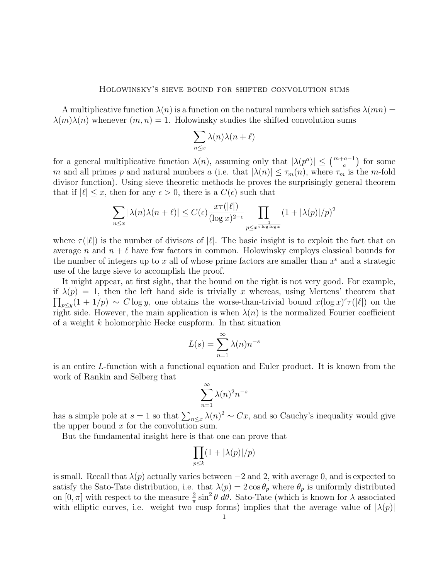## Holowinsky's sieve bound for shifted convolution sums

A multiplicative function  $\lambda(n)$  is a function on the natural numbers which satisfies  $\lambda(mn)$  =  $\lambda(m)\lambda(n)$  whenever  $(m, n) = 1$ . Holowinsky studies the shifted convolution sums

$$
\sum_{n\leq x}\lambda(n)\lambda(n+\ell)
$$

for a general multiplicative function  $\lambda(n)$ , assuming only that  $|\lambda(p^a)| \leq {m+a-1 \choose a}$  for some m and all primes p and natural numbers a (i.e. that  $|\lambda(n)| \leq \tau_m(n)$ , where  $\tau_m$  is the m-fold divisor function). Using sieve theoretic methods he proves the surprisingly general theorem that if  $|\ell| \leq x$ , then for any  $\epsilon > 0$ , there is a  $C(\epsilon)$  such that

$$
\sum_{n \le x} |\lambda(n)\lambda(n+\ell)| \le C(\epsilon) \frac{x\tau(|\ell|)}{(\log x)^{2-\epsilon}} \prod_{\substack{p \le x^{\frac{1}{\epsilon \log \log x}}}} (1+|\lambda(p)|/p)^2
$$

where  $\tau(|\ell|)$  is the number of divisors of  $|\ell|$ . The basic insight is to exploit the fact that on average n and  $n + \ell$  have few factors in common. Holowinsky employs classical bounds for the number of integers up to x all of whose prime factors are smaller than  $x^{\epsilon}$  and a strategic use of the large sieve to accomplish the proof.

It might appear, at first sight, that the bound on the right is not very good. For example, if  $\lambda(p) = 1$ , then the left hand side is trivially x whereas, using Mertens' theorem that  $\prod_{p\leq y}(1+1/p) \sim C \log y$ , one obtains the worse-than-trivial bound  $x(\log x)^{\epsilon} \tau(|\ell|)$  on the right side. However, the main application is when  $\lambda(n)$  is the normalized Fourier coefficient of a weight k holomorphic Hecke cuspform. In that situation

$$
L(s) = \sum_{n=1}^{\infty} \lambda(n) n^{-s}
$$

is an entire L-function with a functional equation and Euler product. It is known from the work of Rankin and Selberg that

$$
\sum_{n=1}^{\infty} \lambda(n)^2 n^{-s}
$$

has a simple pole at  $s = 1$  so that  $\sum_{n \leq x} \lambda(n)^2 \sim Cx$ , and so Cauchy's inequality would give the upper bound  $x$  for the convolution sum.

But the fundamental insight here is that one can prove that

$$
\prod_{p\leq k}(1+|\lambda(p)|/p)
$$

is small. Recall that  $\lambda(p)$  actually varies between  $-2$  and 2, with average 0, and is expected to satisfy the Sato-Tate distribution, i.e. that  $\lambda(p) = 2 \cos \theta_p$  where  $\theta_p$  is uniformly distributed on  $[0, \pi]$  with respect to the measure  $\frac{2}{\pi} \sin^2 \theta \, d\theta$ . Sato-Tate (which is known for  $\lambda$  associated with elliptic curves, i.e. weight two cusp forms) implies that the average value of  $|\lambda(p)|$